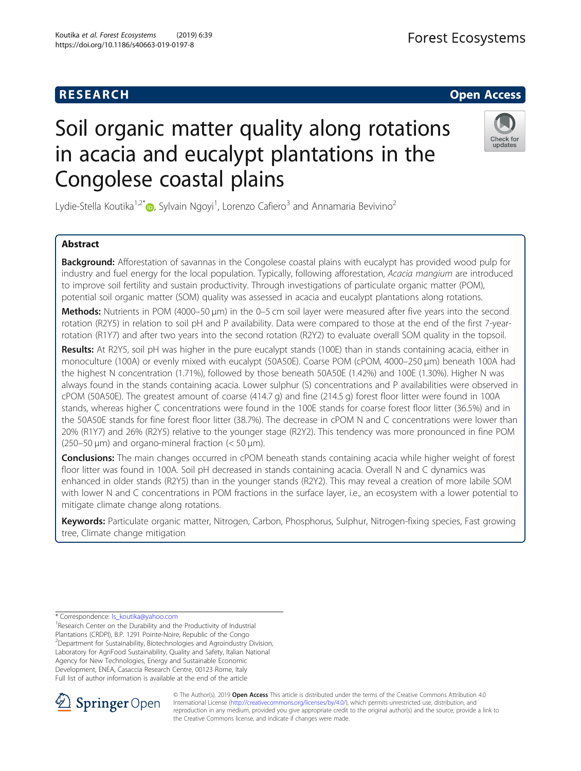

# Soil organic matter quality along rotations in acacia and eucalypt plantations in the Congolese coastal plains



Lydie-Stella Koutika<sup>1,2[\\*](http://orcid.org/0000-0001-8223-3032)</sup>�, Sylvain Ngoyi<sup>1</sup>, Lorenzo Cafiero<sup>3</sup> and Annamaria Bevivino<sup>2</sup>

## Abstract

**Background:** Afforestation of savannas in the Congolese coastal plains with eucalypt has provided wood pulp for industry and fuel energy for the local population. Typically, following afforestation, Acacia mangium are introduced to improve soil fertility and sustain productivity. Through investigations of particulate organic matter (POM), potential soil organic matter (SOM) quality was assessed in acacia and eucalypt plantations along rotations.

Methods: Nutrients in POM (4000–50 μm) in the 0–5 cm soil layer were measured after five years into the second rotation (R2Y5) in relation to soil pH and P availability. Data were compared to those at the end of the first 7-yearrotation (R1Y7) and after two years into the second rotation (R2Y2) to evaluate overall SOM quality in the topsoil.

Results: At R2Y5, soil pH was higher in the pure eucalypt stands (100E) than in stands containing acacia, either in monoculture (100A) or evenly mixed with eucalypt (50A50E). Coarse POM (cPOM, 4000-250 µm) beneath 100A had the highest N concentration (1.71%), followed by those beneath 50A50E (1.42%) and 100E (1.30%). Higher N was always found in the stands containing acacia. Lower sulphur (S) concentrations and P availabilities were observed in cPOM (50A50E). The greatest amount of coarse (414.7 g) and fine (214.5 g) forest floor litter were found in 100A stands, whereas higher C concentrations were found in the 100E stands for coarse forest floor litter (36.5%) and in the 50A50E stands for fine forest floor litter (38.7%). The decrease in cPOM N and C concentrations were lower than 20% (R1Y7) and 26% (R2Y5) relative to the younger stage (R2Y2). This tendency was more pronounced in fine POM  $(250-50 \,\mu m)$  and organo-mineral fraction  $(< 50 \,\mu m)$ .

Conclusions: The main changes occurred in cPOM beneath stands containing acacia while higher weight of forest floor litter was found in 100A. Soil pH decreased in stands containing acacia. Overall N and C dynamics was enhanced in older stands (R2Y5) than in the younger stands (R2Y2). This may reveal a creation of more labile SOM with lower N and C concentrations in POM fractions in the surface layer, i.e., an ecosystem with a lower potential to mitigate climate change along rotations.

Keywords: Particulate organic matter, Nitrogen, Carbon, Phosphorus, Sulphur, Nitrogen-fixing species, Fast growing tree, Climate change mitigation

\* Correspondence: [ls\\_koutika@yahoo.com](mailto:ls_koutika@yahoo.com) <sup>1</sup>

<sup>1</sup> Research Center on the Durability and the Productivity of Industrial Plantations (CRDPI), B.P. 1291 Pointe-Noire, Republic of the Congo 2 Department for Sustainability, Biotechnologies and Agroindustry Division, Laboratory for AgriFood Sustainability, Quality and Safety, Italian National Agency for New Technologies, Energy and Sustainable Economic Development, ENEA, Casaccia Research Centre, 00123 Rome, Italy Full list of author information is available at the end of the article



© The Author(s). 2019 **Open Access** This article is distributed under the terms of the Creative Commons Attribution 4.0 International License ([http://creativecommons.org/licenses/by/4.0/\)](http://creativecommons.org/licenses/by/4.0/), which permits unrestricted use, distribution, and reproduction in any medium, provided you give appropriate credit to the original author(s) and the source, provide a link to the Creative Commons license, and indicate if changes were made.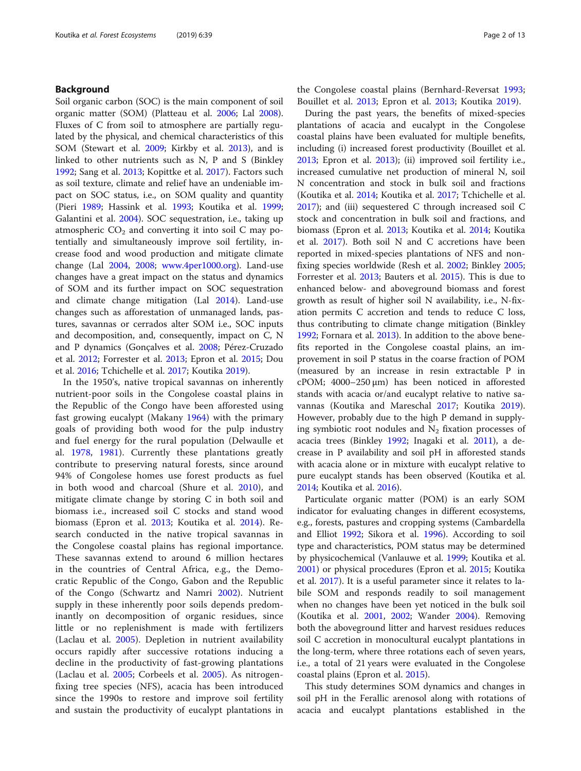## Background

Soil organic carbon (SOC) is the main component of soil organic matter (SOM) (Platteau et al. [2006;](#page-11-0) Lal [2008](#page-11-0)). Fluxes of C from soil to atmosphere are partially regulated by the physical, and chemical characteristics of this SOM (Stewart et al. [2009](#page-11-0); Kirkby et al. [2013\)](#page-11-0), and is linked to other nutrients such as N, P and S (Binkley [1992](#page-10-0); Sang et al. [2013;](#page-11-0) Kopittke et al. [2017\)](#page-11-0). Factors such as soil texture, climate and relief have an undeniable impact on SOC status, i.e., on SOM quality and quantity (Pieri [1989;](#page-11-0) Hassink et al. [1993](#page-11-0); Koutika et al. [1999](#page-11-0); Galantini et al. [2004\)](#page-11-0). SOC sequestration, i.e., taking up atmospheric  $CO<sub>2</sub>$  and converting it into soil C may potentially and simultaneously improve soil fertility, increase food and wood production and mitigate climate change (Lal [2004](#page-11-0), [2008;](#page-11-0) [www.4per1000.org](http://www.4per1000.org)). Land-use changes have a great impact on the status and dynamics of SOM and its further impact on SOC sequestration and climate change mitigation (Lal [2014\)](#page-11-0). Land-use changes such as afforestation of unmanaged lands, pastures, savannas or cerrados alter SOM i.e., SOC inputs and decomposition, and, consequently, impact on C, N and P dynamics (Gonçalves et al. [2008](#page-11-0); Pérez-Cruzado et al. [2012](#page-11-0); Forrester et al. [2013;](#page-11-0) Epron et al. [2015](#page-11-0); Dou et al. [2016;](#page-11-0) Tchichelle et al. [2017;](#page-11-0) Koutika [2019](#page-11-0)).

In the 1950's, native tropical savannas on inherently nutrient-poor soils in the Congolese coastal plains in the Republic of the Congo have been afforested using fast growing eucalypt (Makany [1964\)](#page-11-0) with the primary goals of providing both wood for the pulp industry and fuel energy for the rural population (Delwaulle et al. [1978,](#page-11-0) [1981](#page-11-0)). Currently these plantations greatly contribute to preserving natural forests, since around 94% of Congolese homes use forest products as fuel in both wood and charcoal (Shure et al. [2010](#page-11-0)), and mitigate climate change by storing C in both soil and biomass i.e., increased soil C stocks and stand wood biomass (Epron et al. [2013](#page-11-0); Koutika et al. [2014](#page-11-0)). Research conducted in the native tropical savannas in the Congolese coastal plains has regional importance. These savannas extend to around 6 million hectares in the countries of Central Africa, e.g., the Democratic Republic of the Congo, Gabon and the Republic of the Congo (Schwartz and Namri [2002](#page-11-0)). Nutrient supply in these inherently poor soils depends predominantly on decomposition of organic residues, since little or no replenishment is made with fertilizers (Laclau et al. [2005\)](#page-11-0). Depletion in nutrient availability occurs rapidly after successive rotations inducing a decline in the productivity of fast-growing plantations (Laclau et al. [2005](#page-11-0); Corbeels et al. [2005\)](#page-10-0). As nitrogenfixing tree species (NFS), acacia has been introduced since the 1990s to restore and improve soil fertility and sustain the productivity of eucalypt plantations in the Congolese coastal plains (Bernhard-Reversat [1993](#page-10-0); Bouillet et al. [2013;](#page-10-0) Epron et al. [2013](#page-11-0); Koutika [2019\)](#page-11-0).

During the past years, the benefits of mixed-species plantations of acacia and eucalypt in the Congolese coastal plains have been evaluated for multiple benefits, including (i) increased forest productivity (Bouillet et al. [2013](#page-10-0); Epron et al. [2013\)](#page-11-0); (ii) improved soil fertility i.e., increased cumulative net production of mineral N, soil N concentration and stock in bulk soil and fractions (Koutika et al. [2014](#page-11-0); Koutika et al. [2017](#page-11-0); Tchichelle et al. [2017](#page-11-0)); and (iii) sequestered C through increased soil C stock and concentration in bulk soil and fractions, and biomass (Epron et al. [2013](#page-11-0); Koutika et al. [2014;](#page-11-0) Koutika et al. [2017](#page-11-0)). Both soil N and C accretions have been reported in mixed-species plantations of NFS and nonfixing species worldwide (Resh et al. [2002;](#page-11-0) Binkley [2005](#page-10-0); Forrester et al. [2013;](#page-11-0) Bauters et al. [2015\)](#page-10-0). This is due to enhanced below- and aboveground biomass and forest growth as result of higher soil N availability, i.e., N-fixation permits C accretion and tends to reduce C loss, thus contributing to climate change mitigation (Binkley [1992](#page-10-0); Fornara et al. [2013](#page-11-0)). In addition to the above benefits reported in the Congolese coastal plains, an improvement in soil P status in the coarse fraction of POM (measured by an increase in resin extractable P in cPOM; 4000–250 μm) has been noticed in afforested stands with acacia or/and eucalypt relative to native savannas (Koutika and Mareschal [2017;](#page-11-0) Koutika [2019](#page-11-0)). However, probably due to the high P demand in supplying symbiotic root nodules and  $N_2$  fixation processes of acacia trees (Binkley [1992;](#page-10-0) Inagaki et al. [2011](#page-11-0)), a decrease in P availability and soil pH in afforested stands with acacia alone or in mixture with eucalypt relative to pure eucalypt stands has been observed (Koutika et al. [2014](#page-11-0); Koutika et al. [2016\)](#page-11-0).

Particulate organic matter (POM) is an early SOM indicator for evaluating changes in different ecosystems, e.g., forests, pastures and cropping systems (Cambardella and Elliot [1992;](#page-10-0) Sikora et al. [1996\)](#page-11-0). According to soil type and characteristics, POM status may be determined by physicochemical (Vanlauwe et al. [1999;](#page-12-0) Koutika et al. [2001](#page-11-0)) or physical procedures (Epron et al. [2015](#page-11-0); Koutika et al. [2017](#page-11-0)). It is a useful parameter since it relates to labile SOM and responds readily to soil management when no changes have been yet noticed in the bulk soil (Koutika et al. [2001](#page-11-0), [2002;](#page-11-0) Wander [2004\)](#page-12-0). Removing both the aboveground litter and harvest residues reduces soil C accretion in monocultural eucalypt plantations in the long-term, where three rotations each of seven years, i.e., a total of 21 years were evaluated in the Congolese coastal plains (Epron et al. [2015\)](#page-11-0).

This study determines SOM dynamics and changes in soil pH in the Ferallic arenosol along with rotations of acacia and eucalypt plantations established in the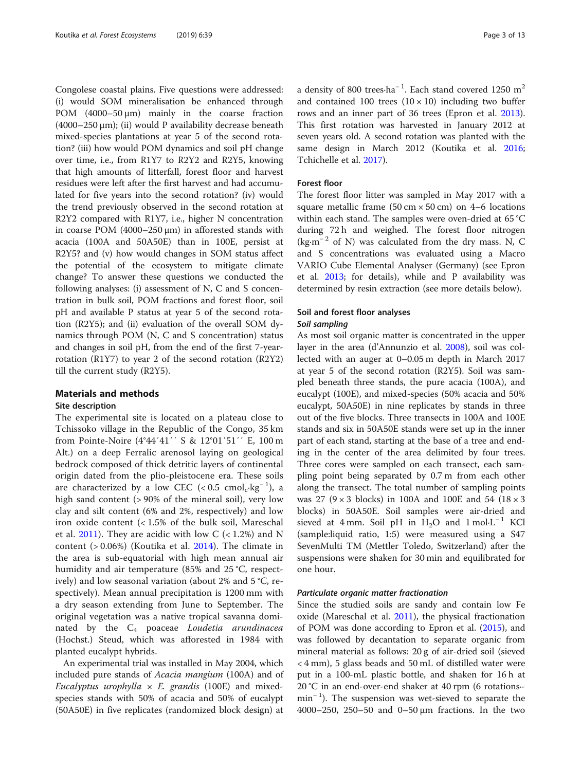Congolese coastal plains. Five questions were addressed: (i) would SOM mineralisation be enhanced through POM (4000–50 μm) mainly in the coarse fraction (4000–250 μm); (ii) would P availability decrease beneath mixed-species plantations at year 5 of the second rotation? (iii) how would POM dynamics and soil pH change over time, i.e., from R1Y7 to R2Y2 and R2Y5, knowing that high amounts of litterfall, forest floor and harvest residues were left after the first harvest and had accumulated for five years into the second rotation? (iv) would the trend previously observed in the second rotation at R2Y2 compared with R1Y7, i.e., higher N concentration in coarse POM  $(4000-250 \,\text{\mu m})$  in afforested stands with acacia (100A and 50A50E) than in 100E, persist at R2Y5? and (v) how would changes in SOM status affect the potential of the ecosystem to mitigate climate change? To answer these questions we conducted the following analyses: (i) assessment of N, C and S concentration in bulk soil, POM fractions and forest floor, soil pH and available P status at year 5 of the second rotation (R2Y5); and (ii) evaluation of the overall SOM dynamics through POM (N, C and S concentration) status and changes in soil pH, from the end of the first 7-yearrotation (R1Y7) to year 2 of the second rotation (R2Y2) till the current study (R2Y5).

## Materials and methods

## Site description

The experimental site is located on a plateau close to Tchissoko village in the Republic of the Congo, 35 km from Pointe-Noire (4°44′41′′ S & 12°01′51′′ E, 100 m Alt.) on a deep Ferralic arenosol laying on geological bedrock composed of thick detritic layers of continental origin dated from the plio-pleistocene era. These soils are characterized by a low CEC (<  $0.5 \text{ cmol}_c \text{ kg}^{-1}$ ), a high sand content (> 90% of the mineral soil), very low clay and silt content (6% and 2%, respectively) and low iron oxide content  $\langle$  < 1.5% of the bulk soil, Mareschal et al. [2011\)](#page-11-0). They are acidic with low  $C$  (< 1.2%) and N content (> 0.06%) (Koutika et al. [2014\)](#page-11-0). The climate in the area is sub-equatorial with high mean annual air humidity and air temperature (85% and 25 °C, respectively) and low seasonal variation (about 2% and 5 °C, respectively). Mean annual precipitation is 1200 mm with a dry season extending from June to September. The original vegetation was a native tropical savanna dominated by the  $C_4$  poaceae Loudetia arundinacea (Hochst.) Steud, which was afforested in 1984 with planted eucalypt hybrids.

An experimental trial was installed in May 2004, which included pure stands of Acacia mangium (100A) and of *Eucalyptus urophylla*  $\times$  *E. grandis* (100E) and mixedspecies stands with 50% of acacia and 50% of eucalypt (50A50E) in five replicates (randomized block design) at

a density of 800 trees·ha<sup>-1</sup>. Each stand covered 1250 m<sup>2</sup> and contained 100 trees  $(10 \times 10)$  including two buffer rows and an inner part of 36 trees (Epron et al. [2013](#page-11-0)). This first rotation was harvested in January 2012 at seven years old. A second rotation was planted with the same design in March 2012 (Koutika et al. [2016](#page-11-0); Tchichelle et al. [2017](#page-11-0)).

### Forest floor

The forest floor litter was sampled in May 2017 with a square metallic frame  $(50 \text{ cm} \times 50 \text{ cm})$  on 4–6 locations within each stand. The samples were oven-dried at 65 °C during 72 h and weighed. The forest floor nitrogen (kg·m<sup>-2</sup> of N) was calculated from the dry mass. N, C and S concentrations was evaluated using a Macro VARIO Cube Elemental Analyser (Germany) (see Epron et al. [2013;](#page-11-0) for details), while and P availability was determined by resin extraction (see more details below).

## Soil and forest floor analyses

## Soil sampling

As most soil organic matter is concentrated in the upper layer in the area (d'Annunzio et al. [2008\)](#page-10-0), soil was collected with an auger at 0–0.05 m depth in March 2017 at year 5 of the second rotation (R2Y5). Soil was sampled beneath three stands, the pure acacia (100A), and eucalypt (100E), and mixed-species (50% acacia and 50% eucalypt, 50A50E) in nine replicates by stands in three out of the five blocks. Three transects in 100A and 100E stands and six in 50A50E stands were set up in the inner part of each stand, starting at the base of a tree and ending in the center of the area delimited by four trees. Three cores were sampled on each transect, each sampling point being separated by 0.7 m from each other along the transect. The total number of sampling points was 27 ( $9 \times 3$  blocks) in 100A and 100E and 54 ( $18 \times 3$ blocks) in 50A50E. Soil samples were air-dried and sieved at 4 mm. Soil pH in H<sub>2</sub>O and 1 mol⋅L<sup>-1</sup> KCl (sample:liquid ratio, 1:5) were measured using a S47 SevenMulti TM (Mettler Toledo, Switzerland) after the suspensions were shaken for 30 min and equilibrated for one hour.

#### Particulate organic matter fractionation

Since the studied soils are sandy and contain low Fe oxide (Mareschal et al. [2011\)](#page-11-0), the physical fractionation of POM was done according to Epron et al. [\(2015\)](#page-11-0), and was followed by decantation to separate organic from mineral material as follows: 20 g of air-dried soil (sieved < 4 mm), 5 glass beads and 50 mL of distilled water were put in a 100-mL plastic bottle, and shaken for 16 h at 20 °C in an end-over-end shaker at 40 rpm (6 rotations∙ min<sup>-1</sup>). The suspension was wet-sieved to separate the 4000–250, 250–50 and 0–50 μm fractions. In the two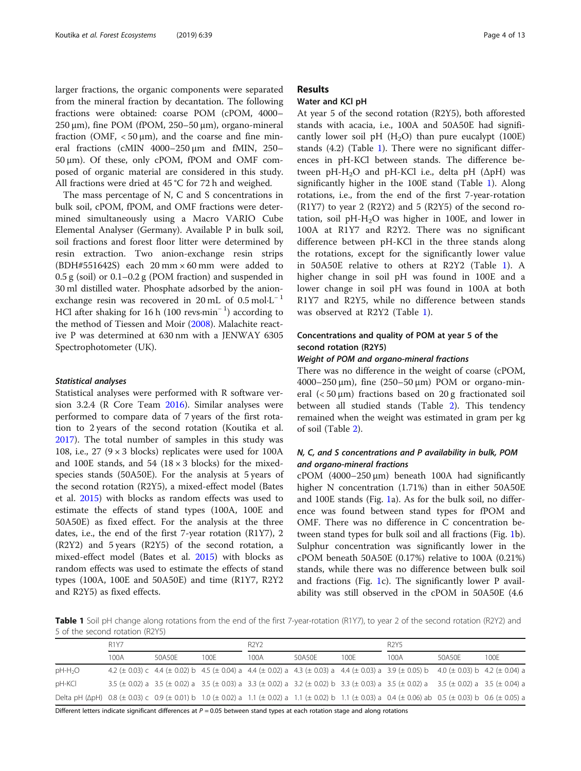<span id="page-3-0"></span>larger fractions, the organic components were separated from the mineral fraction by decantation. The following fractions were obtained: coarse POM (cPOM, 4000– 250 μm), fine POM (fPOM, 250–50 μm), organo-mineral fraction (OMF,  $<$  50  $\mu$ m), and the coarse and fine mineral fractions (cMIN 4000–250 μm and fMIN, 250– 50 μm). Of these, only cPOM, fPOM and OMF composed of organic material are considered in this study. All fractions were dried at 45 °C for 72 h and weighed.

The mass percentage of N, C and S concentrations in bulk soil, cPOM, fPOM, and OMF fractions were determined simultaneously using a Macro VARIO Cube Elemental Analyser (Germany). Available P in bulk soil, soil fractions and forest floor litter were determined by resin extraction. Two anion-exchange resin strips (BDH#551642S) each 20 mm × 60 mm were added to 0.5 g (soil) or 0.1–0.2 g (POM fraction) and suspended in 30 ml distilled water. Phosphate adsorbed by the anionexchange resin was recovered in 20 mL of  $0.5 \text{ mol} \cdot L^{-1}$ HCl after shaking for 16 h (100 revs·min<sup>-1</sup>) according to the method of Tiessen and Moir ([2008\)](#page-12-0). Malachite reactive P was determined at 630 nm with a JENWAY 6305 Spectrophotometer (UK).

#### Statistical analyses

Statistical analyses were performed with R software version 3.2.4 (R Core Team [2016](#page-11-0)). Similar analyses were performed to compare data of 7 years of the first rotation to 2 years of the second rotation (Koutika et al. [2017](#page-11-0)). The total number of samples in this study was 108, i.e., 27 ( $9 \times 3$  blocks) replicates were used for 100A and 100E stands, and 54 (18  $\times$  3 blocks) for the mixedspecies stands (50A50E). For the analysis at 5 years of the second rotation (R2Y5), a mixed-effect model (Bates et al. [2015](#page-10-0)) with blocks as random effects was used to estimate the effects of stand types (100A, 100E and 50A50E) as fixed effect. For the analysis at the three dates, i.e., the end of the first 7-year rotation (R1Y7), 2 (R2Y2) and 5 years (R2Y5) of the second rotation, a mixed-effect model (Bates et al. [2015\)](#page-10-0) with blocks as random effects was used to estimate the effects of stand types (100A, 100E and 50A50E) and time (R1Y7, R2Y2 and R2Y5) as fixed effects.

## Results

## Water and KCl pH

At year 5 of the second rotation (R2Y5), both afforested stands with acacia, i.e., 100A and 50A50E had significantly lower soil pH  $(H<sub>2</sub>O)$  than pure eucalypt (100E) stands (4.2) (Table 1). There were no significant differences in pH-KCl between stands. The difference between  $pH-H_2O$  and  $pH-KCl$  i.e., delta  $pH (\Delta pH)$  was significantly higher in the 100E stand (Table 1). Along rotations, i.e., from the end of the first 7-year-rotation (R1Y7) to year 2 (R2Y2) and 5 (R2Y5) of the second rotation, soil  $pH-H<sub>2</sub>O$  was higher in 100E, and lower in 100A at R1Y7 and R2Y2. There was no significant difference between pH-KCl in the three stands along the rotations, except for the significantly lower value in 50A50E relative to others at R2Y2 (Table 1). A higher change in soil pH was found in 100E and a lower change in soil pH was found in 100A at both R1Y7 and R2Y5, while no difference between stands was observed at R2Y2 (Table 1).

## Concentrations and quality of POM at year 5 of the second rotation (R2Y5)

## Weight of POM and organo-mineral fractions

There was no difference in the weight of coarse (cPOM, 4000–250 μm), fine (250–50 μm) POM or organo-mineral (< 50 μm) fractions based on 20 g fractionated soil between all studied stands (Table [2\)](#page-4-0). This tendency remained when the weight was estimated in gram per kg of soil (Table [2\)](#page-4-0).

## N, C, and S concentrations and P availability in bulk, POM and organo-mineral fractions

cPOM  $(4000-250 \,\mu m)$  beneath 100A had significantly higher N concentration (1.71%) than in either 50A50E and 100E stands (Fig. [1](#page-4-0)a). As for the bulk soil, no difference was found between stand types for fPOM and OMF. There was no difference in C concentration between stand types for bulk soil and all fractions (Fig. [1](#page-4-0)b). Sulphur concentration was significantly lower in the cPOM beneath 50A50E (0.17%) relative to 100A (0.21%) stands, while there was no difference between bulk soil and fractions (Fig. [1](#page-4-0)c). The significantly lower P availability was still observed in the cPOM in 50A50E (4.6

Table 1 Soil pH change along rotations from the end of the first 7-year-rotation (R1Y7), to year 2 of the second rotation (R2Y2) and 5 of the second rotation (R2Y5)

|                                                                                                                                                        | <b>R1Y7</b> |        |      | R <sub>2</sub> Y <sub>2</sub> |        |      | R <sub>2</sub> Y <sub>5</sub>                                                                                                          |        |      |
|--------------------------------------------------------------------------------------------------------------------------------------------------------|-------------|--------|------|-------------------------------|--------|------|----------------------------------------------------------------------------------------------------------------------------------------|--------|------|
|                                                                                                                                                        | 100A        | 50A50F | 100F | 100A                          | 50A50F | 100F | 100A                                                                                                                                   | 50A50F | 100F |
| $pH-H2O$                                                                                                                                               |             |        |      |                               |        |      | 4.2 (± 0.03) c 4.4 (± 0.02) b 4.5 (± 0.04) a 4.4 (± 0.02) a 4.3 (± 0.03) a 4.4 (± 0.03) a 3.9 (± 0.05) b 4.0 (± 0.03) b 4.2 (± 0.04) a |        |      |
| pH-KCl                                                                                                                                                 |             |        |      |                               |        |      | 3.5 (± 0.02) a 3.5 (± 0.02) a 3.5 (± 0.03) a 3.3 (± 0.02) a 3.2 (± 0.02) b 3.3 (± 0.03) a 3.5 (± 0.02) a 3.5 (± 0.04) a 3.5 (± 0.04) a |        |      |
| Delta pH (ΔpH) 0.8 (± 0.03) c 0.9 (± 0.01) b 1.0 (± 0.02) a 1.1 (± 0.02) a 1.1 (± 0.02) b 1.1 (± 0.03) a 0.4 (± 0.06) ab 0.5 (± 0.03) b 0.6 (± 0.05) a |             |        |      |                               |        |      |                                                                                                                                        |        |      |

Different letters indicate significant differences at  $P = 0.05$  between stand types at each rotation stage and along rotations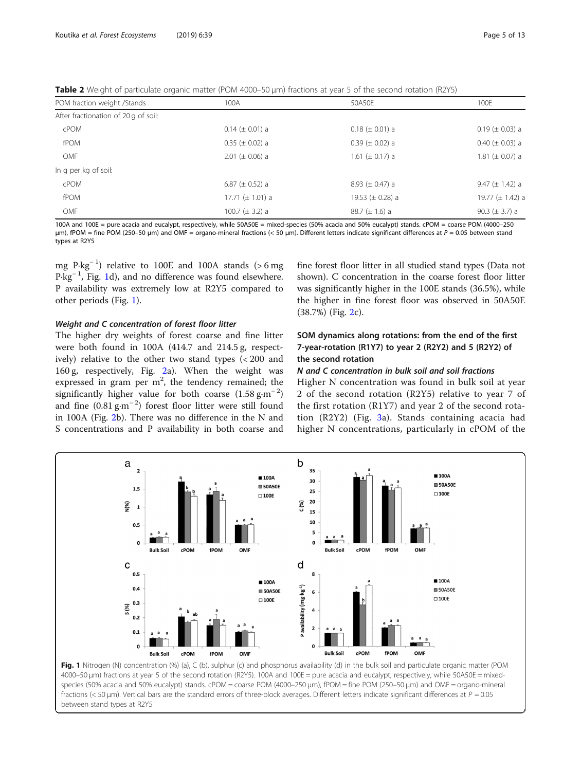<span id="page-4-0"></span>Table 2 Weight of particulate organic matter (POM 4000–50 μm) fractions at year 5 of the second rotation (R2Y5)

| POM fraction weight /Stands          | 100A                  | 50A50F                | 100E                  |
|--------------------------------------|-----------------------|-----------------------|-----------------------|
| After fractionation of 20 g of soil: |                       |                       |                       |
| cPOM                                 | $0.14 \ (\pm 0.01)$ a | $0.18 (\pm 0.01)$ a   | $0.19 \ (\pm 0.03)$ a |
| fPOM                                 | $0.35 (\pm 0.02)$ a   | $0.39 (\pm 0.02)$ a   | $0.40 (\pm 0.03)$ a   |
| OMF                                  | $2.01 (\pm 0.06)$ a   | 1.61 ( $\pm$ 0.17) a  | 1.81 ( $\pm$ 0.07) a  |
| In g per kg of soil:                 |                       |                       |                       |
| cPOM                                 | 6.87 ( $\pm$ 0.52) a  | 8.93 ( $\pm$ 0.47) a  | 9.47 ( $\pm$ 1.42) a  |
| fPOM                                 | 17.71 ( $\pm$ 1.01) a | 19.53 ( $\pm$ 0.28) a | 19.77 ( $\pm$ 1.42) a |
| OMF                                  | 100.7 ( $\pm$ 3.2) a  | 88.7 $(\pm 1.6)$ a    | 90.3 ( $\pm$ 3.7) a   |

100A and 100E = pure acacia and eucalypt, respectively, while 50A50E = mixed-species (50% acacia and 50% eucalypt) stands. cPOM = coarse POM (4000-250) μm), fPOM = fine POM (250–50 μm) and OMF = organo-mineral fractions (< 50 μm). Different letters indicate significant differences at P = 0.05 between stand types at R2Y5

mg  $P \cdot kg^{-1}$ ) relative to 100E and 100A stands (> 6 mg P·kg<sup>-1</sup>, Fig. 1d), and no difference was found elsewhere. P availability was extremely low at R2Y5 compared to other periods (Fig. 1).

## Weight and C concentration of forest floor litter

The higher dry weights of forest coarse and fine litter were both found in 100A (414.7 and 214.5 g, respectively) relative to the other two stand types (< 200 and 160 g, respectively, Fig. [2](#page-5-0)a). When the weight was expressed in gram per  $m^2$ , the tendency remained; the significantly higher value for both coarse  $(1.58 \text{ g} \cdot \text{m}^{-2})$ and fine  $(0.81 \text{ g} \cdot \text{m}^{-2})$  forest floor litter were still found in 100A (Fig. [2](#page-5-0)b). There was no difference in the N and S concentrations and P availability in both coarse and fine forest floor litter in all studied stand types (Data not shown). C concentration in the coarse forest floor litter was significantly higher in the 100E stands (36.5%), while the higher in fine forest floor was observed in 50A50E (38.7%) (Fig. [2](#page-5-0)c).

## SOM dynamics along rotations: from the end of the first 7-year-rotation (R1Y7) to year 2 (R2Y2) and 5 (R2Y2) of the second rotation

## N and C concentration in bulk soil and soil fractions

Higher N concentration was found in bulk soil at year 2 of the second rotation (R2Y5) relative to year 7 of the first rotation (R1Y7) and year 2 of the second rotation (R2Y2) (Fig. [3a](#page-6-0)). Stands containing acacia had higher N concentrations, particularly in cPOM of the



species (50% acacia and 50% eucalypt) stands. cPOM = coarse POM (4000-250 μm), fPOM = fine POM (250-50 μm) and OMF = organo-mineral fractions (< 50 µm). Vertical bars are the standard errors of three-block averages. Different letters indicate significant differences at  $P = 0.05$ between stand types at R2Y5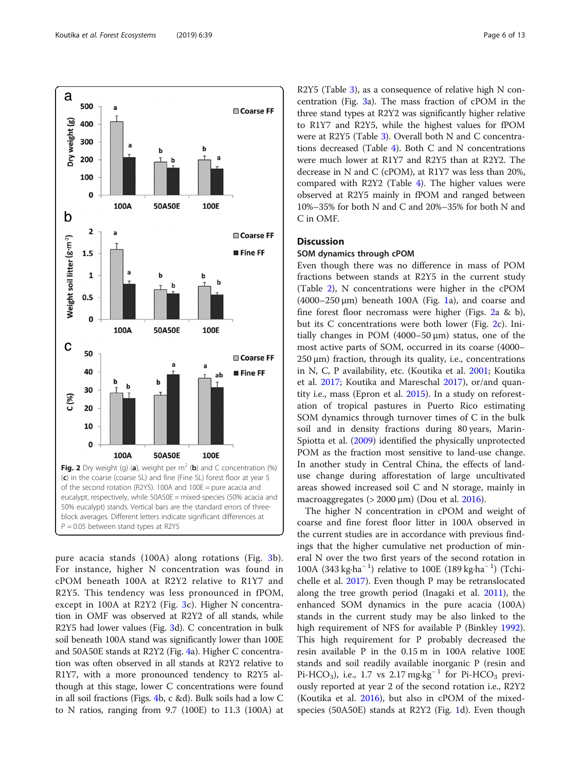<span id="page-5-0"></span>

pure acacia stands (100A) along rotations (Fig. [3b](#page-6-0)). For instance, higher N concentration was found in cPOM beneath 100A at R2Y2 relative to R1Y7 and R2Y5. This tendency was less pronounced in fPOM, except in 100A at R2Y2 (Fig. [3c](#page-6-0)). Higher N concentration in OMF was observed at R2Y2 of all stands, while R2Y5 had lower values (Fig. [3d](#page-6-0)). C concentration in bulk soil beneath 100A stand was significantly lower than 100E and 50A50E stands at R2Y2 (Fig. [4a](#page-6-0)). Higher C concentration was often observed in all stands at R2Y2 relative to R1Y7, with a more pronounced tendency to R2Y5 although at this stage, lower C concentrations were found in all soil fractions (Figs. [4b](#page-6-0), c &d). Bulk soils had a low C to N ratios, ranging from 9.7 (100E) to 11.3 (100A) at

R2Y5 (Table [3](#page-7-0)), as a consequence of relative high N concentration (Fig. [3a](#page-6-0)). The mass fraction of cPOM in the three stand types at R2Y2 was significantly higher relative to R1Y7 and R2Y5, while the highest values for fPOM were at R2Y5 (Table [3\)](#page-7-0). Overall both N and C concentrations decreased (Table [4](#page-8-0)). Both C and N concentrations were much lower at R1Y7 and R2Y5 than at R2Y2. The decrease in N and C (cPOM), at R1Y7 was less than 20%, compared with R2Y2 (Table [4](#page-8-0)). The higher values were observed at R2Y5 mainly in fPOM and ranged between 10%–35% for both N and C and 20%–35% for both N and C in OMF.

## **Discussion**

## SOM dynamics through cPOM

Even though there was no difference in mass of POM fractions between stands at R2Y5 in the current study (Table [2](#page-4-0)), N concentrations were higher in the cPOM  $(4000-250 \,\mu m)$  beneath [1](#page-4-0)00A (Fig. 1a), and coarse and fine forest floor necromass were higher (Figs. 2a & b), but its C concentrations were both lower (Fig. 2c). Initially changes in POM  $(4000-50 \,\mu m)$  status, one of the most active parts of SOM, occurred in its coarse (4000–  $250 \,\mu m$ ) fraction, through its quality, i.e., concentrations in N, C, P availability, etc. (Koutika et al. [2001;](#page-11-0) Koutika et al. [2017;](#page-11-0) Koutika and Mareschal [2017](#page-11-0)), or/and quantity i.e., mass (Epron et al. [2015](#page-11-0)). In a study on reforestation of tropical pastures in Puerto Rico estimating SOM dynamics through turnover times of C in the bulk soil and in density fractions during 80 years, Marin-Spiotta et al. ([2009](#page-11-0)) identified the physically unprotected POM as the fraction most sensitive to land-use change. In another study in Central China, the effects of landuse change during afforestation of large uncultivated areas showed increased soil C and N storage, mainly in macroaggregates ( $> 2000 \mu m$ ) (Dou et al. [2016](#page-11-0)).

The higher N concentration in cPOM and weight of coarse and fine forest floor litter in 100A observed in the current studies are in accordance with previous findings that the higher cumulative net production of mineral N over the two first years of the second rotation in 100A (343 kg·ha<sup>-1</sup>) relative to 100E (189 kg·ha<sup>-1</sup>) (Tchichelle et al. [2017\)](#page-11-0). Even though P may be retranslocated along the tree growth period (Inagaki et al. [2011\)](#page-11-0), the enhanced SOM dynamics in the pure acacia (100A) stands in the current study may be also linked to the high requirement of NFS for available P (Binkley [1992](#page-10-0)). This high requirement for P probably decreased the resin available P in the 0.15 m in 100A relative 100E stands and soil readily available inorganic P (resin and Pi-HCO<sub>3</sub>), i.e., 1.7 vs 2.17 mg·kg<sup>-1</sup> for Pi-HCO<sub>3</sub> previously reported at year 2 of the second rotation i.e., R2Y2 (Koutika et al. [2016](#page-11-0)), but also in cPOM of the mixedspecies (50A50E) stands at R2Y2 (Fig. [1d](#page-4-0)). Even though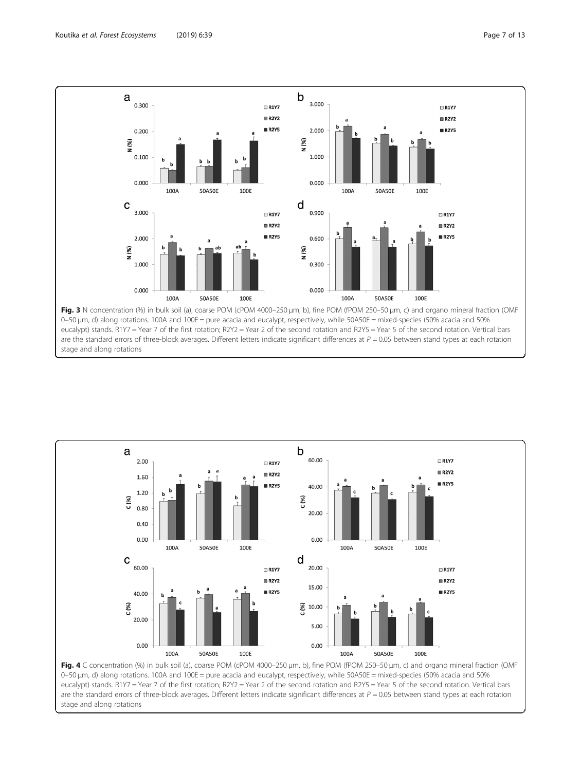stage and along rotations

<span id="page-6-0"></span>



0–50 μm, d) along rotations. 100A and 100E = pure acacia and eucalypt, respectively, while 50A50E = mixed-species (50% acacia and 50% eucalypt) stands. R1Y7 = Year 7 of the first rotation; R2Y2 = Year 2 of the second rotation and R2Y5 = Year 5 of the second rotation. Vertical bars are the standard errors of three-block averages. Different letters indicate significant differences at  $P = 0.05$  between stand types at each rotation stage and along rotations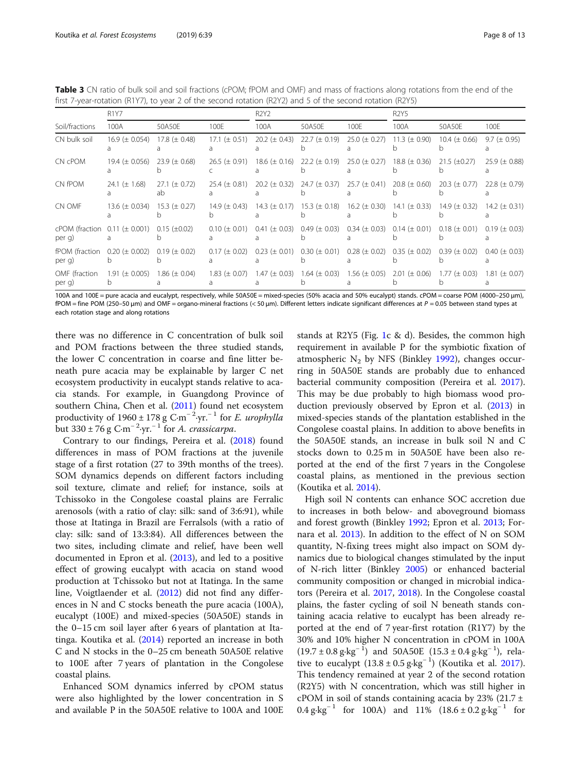<span id="page-7-0"></span>Table 3 CN ratio of bulk soil and soil fractions (cPOM; fPOM and OMF) and mass of fractions along rotations from the end of the first 7-year-rotation (R1Y7), to year 2 of the second rotation (R2Y2) and 5 of the second rotation (R2Y5)

|                                                 | <b>R1Y7</b>         |                          |                     | <b>R2Y2</b>         |                     |                     | <b>R2Y5</b>        |                     |                     |
|-------------------------------------------------|---------------------|--------------------------|---------------------|---------------------|---------------------|---------------------|--------------------|---------------------|---------------------|
| Soil/fractions                                  | 100A                | 50A50E                   | 100E                | 100A                | 50A50E              | 100E                | 100A               | 50A50E              | 100E                |
| CN bulk soil                                    | 16.9 ( $\pm$ 0.054) | 17.8 $(\pm 0.48)$        | $17.1 (\pm 0.51)$   | 20.2 ( $\pm$ 0.43)  | 22.7 ( $\pm$ 0.19)  | 25.0 ( $\pm$ 0.27)  | 11.3 ( $\pm$ 0.90) | 10.4 ( $\pm$ 0.66)  | $9.7 (\pm 0.95)$    |
| CN cPOM                                         | 19.4 $(\pm 0.056)$  | 23.9 ( $\pm$ 0.68)       | $26.5 (\pm 0.91)$   | 18.6 ( $\pm$ 0.16)  | 22.2 ( $\pm$ 0.19)  | $25.0 (\pm 0.27)$   | 18.8 ( $\pm$ 0.36) | $21.5 \ (\pm 0.27)$ | 25.9 ( $\pm$ 0.88)  |
| CN fPOM                                         | 24.1 ( $\pm$ 1.68)  | 27.1 ( $\pm$ 0.72)<br>ab | 25.4 ( $\pm$ 0.81)  | $20.2 (\pm 0.32)$   | 24.7 ( $\pm$ 0.37)  | $25.7 (\pm 0.41)$   | 20.8 ( $\pm$ 0.60) | $20.3 (\pm 0.77)$   | 22.8 ( $\pm$ 0.79)  |
| CN OMF                                          | 13.6 ( $\pm$ 0.034) | 15.3 ( $\pm$ 0.27)       | 14.9 $(\pm 0.43)$   | $14.3 (\pm 0.17)$   | $15.3 (\pm 0.18)$   | 16.2 ( $\pm$ 0.30)  | 14.1 ( $\pm$ 0.33) | 14.9 $(\pm 0.32)$   | 14.2 ( $\pm$ 0.31)  |
| cPOM (fraction $0.11 \ (\pm 0.001)$ )<br>per g) |                     | $0.15 \ (\pm 0.02)$      | $0.10 \ (\pm 0.01)$ | $0.41 (\pm 0.03)$   | $0.49 \ (\pm 0.03)$ | $0.34 \ (\pm 0.03)$ | $0.14 (\pm 0.01)$  | $0.18 (\pm 0.01)$   | $0.19 \ (\pm 0.03)$ |
| <b>fPOM</b> (fraction<br>per g)                 | $0.20 (\pm 0.002)$  | $0.19 \ (\pm 0.02)$      | $0.17 (\pm 0.02)$   | $0.23 \ (\pm 0.01)$ | $0.30 \ (\pm 0.01)$ | $0.28 (\pm 0.02)$   | $0.35 (\pm 0.02)$  | $0.39 \ (\pm 0.02)$ | $0.40 (\pm 0.03)$   |
| OMF (fraction<br>per g)                         | 1.91 ( $\pm$ 0.005) | $1.86 \ (\pm 0.04)$      | $1.83 \ (\pm 0.07)$ | $1.47 \ (\pm 0.03)$ | $1.64 \ (\pm 0.03)$ | $1.56 \ (\pm 0.05)$ | $2.01 (\pm 0.06)$  | $1.77 \ (\pm 0.03)$ | $1.81 (\pm 0.07)$   |

100A and 100E = pure acacia and eucalypt, respectively, while 50A50E = mixed-species (50% acacia and 50% eucalypt) stands. cPOM = coarse POM (4000-250 μm), fPOM = fine POM (250–50 μm) and OMF = organo-mineral fractions (< 50 μm). Different letters indicate significant differences at P = 0.05 between stand types at each rotation stage and along rotations

there was no difference in C concentration of bulk soil and POM fractions between the three studied stands, the lower C concentration in coarse and fine litter beneath pure acacia may be explainable by larger C net ecosystem productivity in eucalypt stands relative to acacia stands. For example, in Guangdong Province of southern China, Chen et al. ([2011](#page-10-0)) found net ecosystem productivity of 1960 ± 178 g C·m<sup>-2</sup>·yr.<sup>-1</sup> for *E. urophylla* but 330 ± 76 g C·m<sup>-2</sup>·yr.<sup>-1</sup> for *A. crassicarpa.* 

Contrary to our findings, Pereira et al. [\(2018\)](#page-11-0) found differences in mass of POM fractions at the juvenile stage of a first rotation (27 to 39th months of the trees). SOM dynamics depends on different factors including soil texture, climate and relief; for instance, soils at Tchissoko in the Congolese coastal plains are Ferralic arenosols (with a ratio of clay: silk: sand of 3:6:91), while those at Itatinga in Brazil are Ferralsols (with a ratio of clay: silk: sand of 13:3:84). All differences between the two sites, including climate and relief, have been well documented in Epron et al. [\(2013](#page-11-0)), and led to a positive effect of growing eucalypt with acacia on stand wood production at Tchissoko but not at Itatinga. In the same line, Voigtlaender et al. ([2012](#page-12-0)) did not find any differences in N and C stocks beneath the pure acacia (100A), eucalypt (100E) and mixed-species (50A50E) stands in the 0–15 cm soil layer after 6 years of plantation at Itatinga. Koutika et al. [\(2014\)](#page-11-0) reported an increase in both C and N stocks in the 0–25 cm beneath 50A50E relative to 100E after 7 years of plantation in the Congolese coastal plains.

Enhanced SOM dynamics inferred by cPOM status were also highlighted by the lower concentration in S and available P in the 50A50E relative to 100A and 100E stands at R2Y5 (Fig. [1](#page-4-0)c & d). Besides, the common high requirement in available P for the symbiotic fixation of atmospheric  $N_2$  by NFS (Binkley [1992](#page-10-0)), changes occurring in 50A50E stands are probably due to enhanced bacterial community composition (Pereira et al. [2017](#page-11-0)). This may be due probably to high biomass wood production previously observed by Epron et al. ([2013](#page-11-0)) in mixed-species stands of the plantation established in the Congolese coastal plains. In addition to above benefits in the 50A50E stands, an increase in bulk soil N and C stocks down to 0.25 m in 50A50E have been also reported at the end of the first 7 years in the Congolese coastal plains, as mentioned in the previous section (Koutika et al. [2014](#page-11-0)).

High soil N contents can enhance SOC accretion due to increases in both below- and aboveground biomass and forest growth (Binkley [1992](#page-10-0); Epron et al. [2013;](#page-11-0) Fornara et al. [2013](#page-11-0)). In addition to the effect of N on SOM quantity, N-fixing trees might also impact on SOM dynamics due to biological changes stimulated by the input of N-rich litter (Binkley [2005](#page-10-0)) or enhanced bacterial community composition or changed in microbial indicators (Pereira et al. [2017,](#page-11-0) [2018\)](#page-11-0). In the Congolese coastal plains, the faster cycling of soil N beneath stands containing acacia relative to eucalypt has been already reported at the end of 7 year-first rotation (R1Y7) by the 30% and 10% higher N concentration in cPOM in 100A  $(19.7 \pm 0.8 \text{ g} \cdot \text{kg}^{-1})$  and  $50A50E (15.3 \pm 0.4 \text{ g} \cdot \text{kg}^{-1})$ , relative to eucalypt  $(13.8 \pm 0.5 \text{ g} \cdot \text{kg}^{-1})$  (Koutika et al. [2017](#page-11-0)). This tendency remained at year 2 of the second rotation (R2Y5) with N concentration, which was still higher in cPOM in soil of stands containing acacia by 23% (21.7  $\pm$  $0.4 \text{ g} \cdot \text{kg}^{-1}$  for 100A) and 11%  $(18.6 \pm 0.2 \text{ g} \cdot \text{kg}^{-1}$  for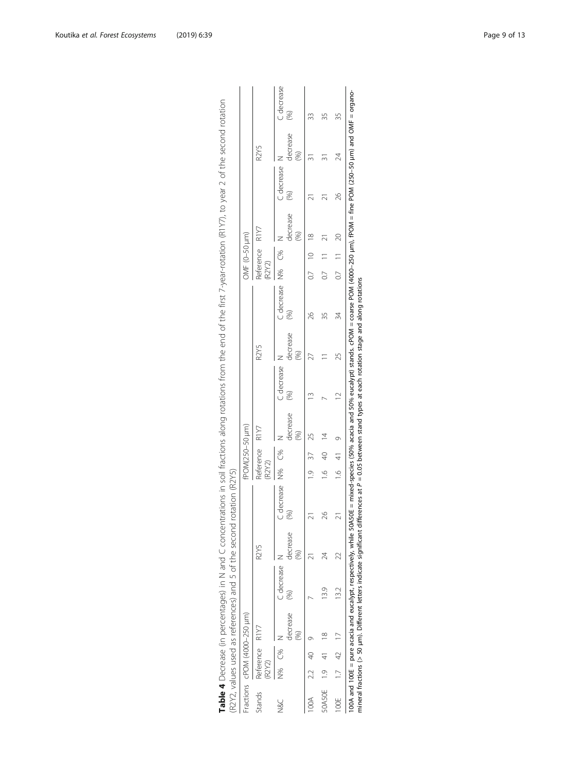|               |                         | Fractions cPOM (4000–250 µm) |                |                |                          |               | fPOM(250-50 µm) |                |                      |                               |                         |        | ЭМF (0-50 µm)  |          |                           |          |                   |
|---------------|-------------------------|------------------------------|----------------|----------------|--------------------------|---------------|-----------------|----------------|----------------------|-------------------------------|-------------------------|--------|----------------|----------|---------------------------|----------|-------------------|
| Stands        | Reference R1Y7<br>R2Y2) |                              |                | R2Y5           |                          | (R2Y2)        | Reference R1Y7  |                |                      | R <sub>2</sub> Y <sub>5</sub> |                         | (R2Y2) | Reference R1Y7 |          |                           | R2Y5     |                   |
| N8C           | C%<br>N%                | decrease                     | C decrease     | decrease<br>S) | C decrease N% C%<br>(96) |               |                 | decrease       | C decrease 1<br>(96) | decrease<br>(%)               | C decrease N% C%<br>(%) |        |                | decrease | C decrease<br>$\circledS$ | decrease | C decrease<br>(%) |
|               | 2.2 40                  |                              |                |                |                          |               | $1.9$ 37        |                |                      |                               | 26                      |        | $0.7$ 10 18    |          |                           |          |                   |
| 50A50E 1.9 41 |                         | $\frac{8}{3}$                | $\frac{39}{2}$ |                | 26                       | $\frac{6}{1}$ | 40              | $\overline{4}$ |                      |                               |                         | 0.7    |                |          |                           |          |                   |
| OOE 1.7 42 17 |                         |                              | 13.2           |                | $\overline{2}$           |               | 16419           |                |                      | 25                            | 34                      |        | $0.7$ 11 20    |          | 26                        | 24       | 35                |

| うりりり                            |                                                                                                                                       |  |
|---------------------------------|---------------------------------------------------------------------------------------------------------------------------------------|--|
|                                 |                                                                                                                                       |  |
| )<br>3<br>3                     |                                                                                                                                       |  |
|                                 |                                                                                                                                       |  |
| こく いいじこう                        |                                                                                                                                       |  |
|                                 |                                                                                                                                       |  |
|                                 |                                                                                                                                       |  |
|                                 |                                                                                                                                       |  |
|                                 |                                                                                                                                       |  |
|                                 |                                                                                                                                       |  |
| $+1$ $\mu$ $+1$ $\mu$ $-1$<br>ļ |                                                                                                                                       |  |
|                                 |                                                                                                                                       |  |
| (<br>त                          |                                                                                                                                       |  |
|                                 |                                                                                                                                       |  |
|                                 |                                                                                                                                       |  |
| -------                         |                                                                                                                                       |  |
|                                 |                                                                                                                                       |  |
|                                 |                                                                                                                                       |  |
|                                 |                                                                                                                                       |  |
|                                 |                                                                                                                                       |  |
|                                 |                                                                                                                                       |  |
|                                 |                                                                                                                                       |  |
|                                 | í                                                                                                                                     |  |
|                                 |                                                                                                                                       |  |
|                                 |                                                                                                                                       |  |
| $0.01 + 0.4 + 0.02$             |                                                                                                                                       |  |
| j                               | ؟<br>٥                                                                                                                                |  |
| $\frac{1}{2}$<br>うりりこ<br>١      | ל<br>ו                                                                                                                                |  |
|                                 |                                                                                                                                       |  |
|                                 | j                                                                                                                                     |  |
|                                 | - קאר הנקל                                                                                                                            |  |
|                                 | l                                                                                                                                     |  |
|                                 |                                                                                                                                       |  |
| - ここへつつかっこうフラン こう DCDコロコ # DIA- | ופנופרא פט פי אסדסא                                                                                                                   |  |
|                                 |                                                                                                                                       |  |
|                                 |                                                                                                                                       |  |
| $\tilde{\zeta}$<br>l            |                                                                                                                                       |  |
| ć                               | ien CACC.<br>֪֖֚֚֚֚֚֚֚֚֚֚֚֚֚֚֚֚֡֡֝<br>ׇׇ֧ׅ֧֧֧ׅ֧֪ׅ֪֪ׅ֧֪ׅ֪֪ׅ֧֪ׅ֖֧֪ׅ֧֪ׅ֧֪ׅ֧֧֪ׅ֖֧֧֪ׅ֧֪ׅ֧֚֚֚֚֚֚֚֚֚֚֚֚֚֚֚֚֚֚֩֩֘֝֬֘֩֝֬֝֬֝֬֝֬֝֬֝֬֝֬֝֬֝֬֝֬֝֬֝֬ |  |
|                                 |                                                                                                                                       |  |

<span id="page-8-0"></span>Koutika et al. Forest Ecosystems (2019) 6:39 Page 9 of 13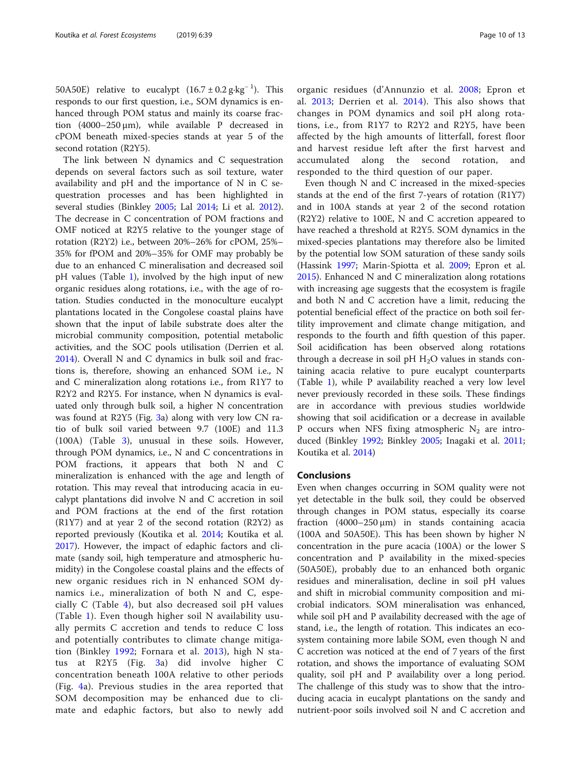50A50E) relative to eucalypt  $(16.7 \pm 0.2 \text{ g} \cdot \text{kg}^{-1})$ . This responds to our first question, i.e., SOM dynamics is enhanced through POM status and mainly its coarse fraction (4000–250 μm), while available P decreased in cPOM beneath mixed-species stands at year 5 of the second rotation (R2Y5).

The link between N dynamics and C sequestration depends on several factors such as soil texture, water availability and pH and the importance of N in C sequestration processes and has been highlighted in several studies (Binkley [2005](#page-10-0); Lal [2014](#page-11-0); Li et al. [2012](#page-11-0)). The decrease in C concentration of POM fractions and OMF noticed at R2Y5 relative to the younger stage of rotation (R2Y2) i.e., between 20%–26% for cPOM, 25%– 35% for fPOM and 20%–35% for OMF may probably be due to an enhanced C mineralisation and decreased soil pH values (Table [1](#page-3-0)), involved by the high input of new organic residues along rotations, i.e., with the age of rotation. Studies conducted in the monoculture eucalypt plantations located in the Congolese coastal plains have shown that the input of labile substrate does alter the microbial community composition, potential metabolic activities, and the SOC pools utilisation (Derrien et al. [2014](#page-11-0)). Overall N and C dynamics in bulk soil and fractions is, therefore, showing an enhanced SOM i.e., N and C mineralization along rotations i.e., from R1Y7 to R2Y2 and R2Y5. For instance, when N dynamics is evaluated only through bulk soil, a higher N concentration was found at R2Y5 (Fig. [3a](#page-6-0)) along with very low CN ratio of bulk soil varied between 9.7 (100E) and 11.3 (100A) (Table [3\)](#page-7-0), unusual in these soils. However, through POM dynamics, i.e., N and C concentrations in POM fractions, it appears that both N and C mineralization is enhanced with the age and length of rotation. This may reveal that introducing acacia in eucalypt plantations did involve N and C accretion in soil and POM fractions at the end of the first rotation (R1Y7) and at year 2 of the second rotation (R2Y2) as reported previously (Koutika et al. [2014;](#page-11-0) Koutika et al. [2017](#page-11-0)). However, the impact of edaphic factors and climate (sandy soil, high temperature and atmospheric humidity) in the Congolese coastal plains and the effects of new organic residues rich in N enhanced SOM dynamics i.e., mineralization of both N and C, especially C (Table [4\)](#page-8-0), but also decreased soil pH values (Table [1](#page-3-0)). Even though higher soil N availability usually permits C accretion and tends to reduce C loss and potentially contributes to climate change mitigation (Binkley [1992;](#page-10-0) Fornara et al. [2013](#page-11-0)), high N status at R2Y5 (Fig. [3](#page-6-0)a) did involve higher C concentration beneath 100A relative to other periods (Fig. [4a](#page-6-0)). Previous studies in the area reported that SOM decomposition may be enhanced due to climate and edaphic factors, but also to newly add

organic residues (d'Annunzio et al. [2008;](#page-10-0) Epron et al. [2013](#page-11-0); Derrien et al. [2014\)](#page-11-0). This also shows that changes in POM dynamics and soil pH along rotations, i.e., from R1Y7 to R2Y2 and R2Y5, have been affected by the high amounts of litterfall, forest floor and harvest residue left after the first harvest and accumulated along the second rotation, and responded to the third question of our paper.

Even though N and C increased in the mixed-species stands at the end of the first 7-years of rotation (R1Y7) and in 100A stands at year 2 of the second rotation (R2Y2) relative to 100E, N and C accretion appeared to have reached a threshold at R2Y5. SOM dynamics in the mixed-species plantations may therefore also be limited by the potential low SOM saturation of these sandy soils (Hassink [1997;](#page-11-0) Marin-Spiotta et al. [2009](#page-11-0); Epron et al. [2015](#page-11-0)). Enhanced N and C mineralization along rotations with increasing age suggests that the ecosystem is fragile and both N and C accretion have a limit, reducing the potential beneficial effect of the practice on both soil fertility improvement and climate change mitigation, and responds to the fourth and fifth question of this paper. Soil acidification has been observed along rotations through a decrease in soil pH  $H_2O$  values in stands containing acacia relative to pure eucalypt counterparts (Table [1](#page-3-0)), while P availability reached a very low level never previously recorded in these soils. These findings are in accordance with previous studies worldwide showing that soil acidification or a decrease in available P occurs when NFS fixing atmospheric  $N_2$  are introduced (Binkley [1992;](#page-10-0) Binkley [2005](#page-10-0); Inagaki et al. [2011](#page-11-0); Koutika et al. [2014\)](#page-11-0)

## Conclusions

Even when changes occurring in SOM quality were not yet detectable in the bulk soil, they could be observed through changes in POM status, especially its coarse fraction (4000–250 μm) in stands containing acacia (100A and 50A50E). This has been shown by higher N concentration in the pure acacia (100A) or the lower S concentration and P availability in the mixed-species (50A50E), probably due to an enhanced both organic residues and mineralisation, decline in soil pH values and shift in microbial community composition and microbial indicators. SOM mineralisation was enhanced, while soil pH and P availability decreased with the age of stand, i.e., the length of rotation. This indicates an ecosystem containing more labile SOM, even though N and C accretion was noticed at the end of 7 years of the first rotation, and shows the importance of evaluating SOM quality, soil pH and P availability over a long period. The challenge of this study was to show that the introducing acacia in eucalypt plantations on the sandy and nutrient-poor soils involved soil N and C accretion and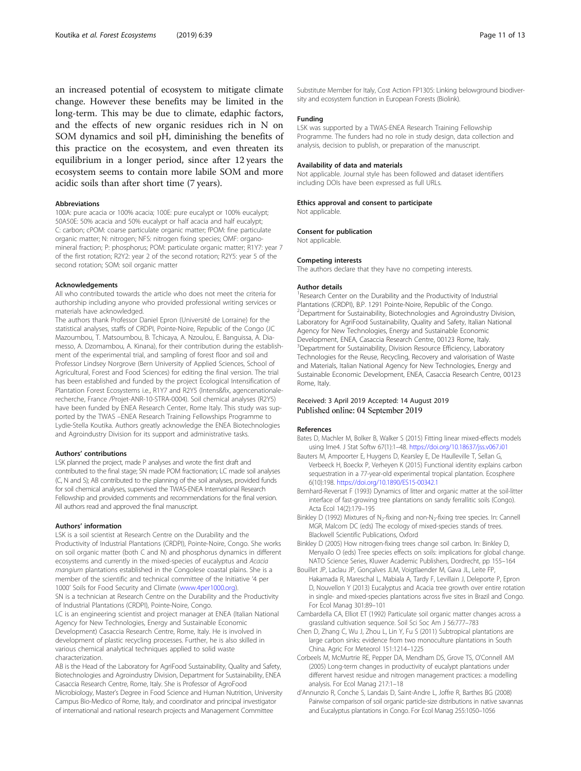<span id="page-10-0"></span>an increased potential of ecosystem to mitigate climate change. However these benefits may be limited in the long-term. This may be due to climate, edaphic factors, and the effects of new organic residues rich in N on SOM dynamics and soil pH, diminishing the benefits of this practice on the ecosystem, and even threaten its equilibrium in a longer period, since after 12 years the ecosystem seems to contain more labile SOM and more acidic soils than after short time (7 years).

#### Abbreviations

100A: pure acacia or 100% acacia; 100E: pure eucalypt or 100% eucalypt; 50A50E: 50% acacia and 50% eucalypt or half acacia and half eucalypt; C: carbon; cPOM: coarse particulate organic matter; fPOM: fine particulate organic matter; N: nitrogen; NFS: nitrogen fixing species; OMF: organomineral fraction; P: phosphorus; POM: particulate organic matter; R1Y7: year 7 of the first rotation; R2Y2: year 2 of the second rotation; R2Y5: year 5 of the second rotation; SOM: soil organic matter

#### Acknowledgements

All who contributed towards the article who does not meet the criteria for authorship including anyone who provided professional writing services or materials have acknowledged.

The authors thank Professor Daniel Epron (Université de Lorraine) for the statistical analyses, staffs of CRDPI, Pointe-Noire, Republic of the Congo (JC Mazoumbou, T. Matsoumbou, B. Tchicaya, A. Nzoulou, E. Banguissa, A. Diamesso, A. Dzomambou, A. Kinana), for their contribution during the establishment of the experimental trial, and sampling of forest floor and soil and Professor Lindsey Norgrove (Bern University of Applied Sciences, School of Agricultural, Forest and Food Sciences) for editing the final version. The trial has been established and funded by the project Ecological Intensification of Plantation Forest Ecosystems i.e., R1Y7 and R2Y5 (Intens&fix, agencenationalerecherche, France /Projet-ANR-10-STRA-0004). Soil chemical analyses (R2Y5) have been funded by ENEA Research Center, Rome Italy. This study was supported by the TWAS –ENEA Research Training Fellowships Programme to Lydie-Stella Koutika. Authors greatly acknowledge the ENEA Biotechnologies and Agroindustry Division for its support and administrative tasks.

#### Authors' contributions

LSK planned the project, made P analyses and wrote the first draft and contributed to the final stage; SN made POM fractionation; LC made soil analyses (C, N and S); AB contributed to the planning of the soil analyses, provided funds for soil chemical analyses, supervised the TWAS-ENEA International Research Fellowship and provided comments and recommendations for the final version. All authors read and approved the final manuscript.

#### Authors' information

LSK is a soil scientist at Research Centre on the Durability and the Productivity of Industrial Plantations (CRDPI), Pointe-Noire, Congo. She works on soil organic matter (both C and N) and phosphorus dynamics in different ecosystems and currently in the mixed-species of eucalyptus and Acacia mangium plantations established in the Congolese coastal plains. She is a member of the scientific and technical committee of the Initiative '4 per 1000' Soils for Food Security and Climate ([www.4per1000.org](http://www.4per1000.org)). SN is a technician at Research Centre on the Durability and the Productivity

of Industrial Plantations (CRDPI), Pointe-Noire, Congo.

LC is an engineering scientist and project manager at ENEA (Italian National Agency for New Technologies, Energy and Sustainable Economic Development) Casaccia Research Centre, Rome, Italy. He is involved in development of plastic recycling processes. Further, he is also skilled in

various chemical analytical techniques applied to solid waste characterization.

AB is the Head of the Laboratory for AgriFood Sustainability, Quality and Safety, Biotechnologies and Agroindustry Division, Department for Sustainability, ENEA Casaccia Research Centre, Rome, Italy. She is Professor of AgroFood Microbiology, Master's Degree in Food Science and Human Nutrition, University Campus Bio-Medico of Rome, Italy, and coordinator and principal investigator of international and national research projects and Management Committee

Substitute Member for Italy, Cost Action FP1305: Linking belowground biodiversity and ecosystem function in European Forests (Biolink).

#### Funding

LSK was supported by a TWAS-ENEA Research Training Fellowship Programme. The funders had no role in study design, data collection and analysis, decision to publish, or preparation of the manuscript.

#### Availability of data and materials

Not applicable. Journal style has been followed and dataset identifiers including DOIs have been expressed as full URLs.

#### Ethics approval and consent to participate

Not applicable.

#### Consent for publication

Not applicable.

#### Competing interests

The authors declare that they have no competing interests.

#### Author details

<sup>1</sup> Research Center on the Durability and the Productivity of Industrial Plantations (CRDPI), B.P. 1291 Pointe-Noire, Republic of the Congo. 2 Department for Sustainability, Biotechnologies and Agroindustry Division, Laboratory for AgriFood Sustainability, Quality and Safety, Italian National Agency for New Technologies, Energy and Sustainable Economic Development, ENEA, Casaccia Research Centre, 00123 Rome, Italy. <sup>3</sup>Department for Sustainability, Division Resource Efficiency, Laboratory Technologies for the Reuse, Recycling, Recovery and valorisation of Waste and Materials, Italian National Agency for New Technologies, Energy and Sustainable Economic Development, ENEA, Casaccia Research Centre, 00123 Rome, Italy.

## Received: 3 April 2019 Accepted: 14 August 2019 Published online: 04 September 2019

#### References

- Bates D, Machler M, Bolker B, Walker S (2015) Fitting linear mixed-effects models using lme4. J Stat Softw 67(1):1–48. <https://doi.org/10.18637/jss.v067.i01>
- Bauters M, Ampoorter E, Huygens D, Kearsley E, De Haulleville T, Sellan G, Verbeeck H, Boeckx P, Verheyen K (2015) Functional identity explains carbon sequestration in a 77-year-old experimental tropical plantation. Ecosphere 6(10):198. <https://doi.org/10.1890/ES15-00342.1>
- Bernhard-Reversat F (1993) Dynamics of litter and organic matter at the soil-litter interface of fast-growing tree plantations on sandy ferrallitic soils (Congo). Acta Ecol 14(2):179–195
- Binkley D (1992) Mixtures of N<sub>2</sub>-fixing and non-N<sub>2</sub>-fixing tree species. In: Cannell MGR, Malcom DC (eds) The ecology of mixed-species stands of trees. Blackwell Scientific Publications, Oxford
- Binkley D (2005) How nitrogen-fixing trees change soil carbon. In: Binkley D, Menyailo O (eds) Tree species effects on soils: implications for global change. NATO Science Series, Kluwer Academic Publishers, Dordrecht, pp 155–164
- Bouillet JP, Laclau JP, Gonçalves JLM, Voigtlaender M, Gava JL, Leite FP, Hakamada R, Mareschal L, Mabiala A, Tardy F, Levillain J, Deleporte P, Epron D, Nouvellon Y (2013) Eucalyptus and Acacia tree growth over entire rotation in single- and mixed-species plantations across five sites in Brazil and Congo. For Ecol Manag 301:89–101
- Cambardella CA, Elliot ET (1992) Particulate soil organic matter changes across a grassland cultivation sequence. Soil Sci Soc Am J 56:777–783
- Chen D, Zhang C, Wu J, Zhou L, Lin Y, Fu S (2011) Subtropical plantations are large carbon sinks: evidence from two monoculture plantations in South China. Agric For Meteorol 151:1214–1225
- Corbeels M, McMurtrie RE, Pepper DA, Mendham DS, Grove TS, O'Connell AM (2005) Long-term changes in productivity of eucalypt plantations under different harvest residue and nitrogen management practices: a modelling analysis. For Ecol Manag 217:1–18
- d'Annunzio R, Conche S, Landais D, Saint-Andre L, Joffre R, Barthes BG (2008) Pairwise comparison of soil organic particle-size distributions in native savannas and Eucalyptus plantations in Congo. For Ecol Manag 255:1050–1056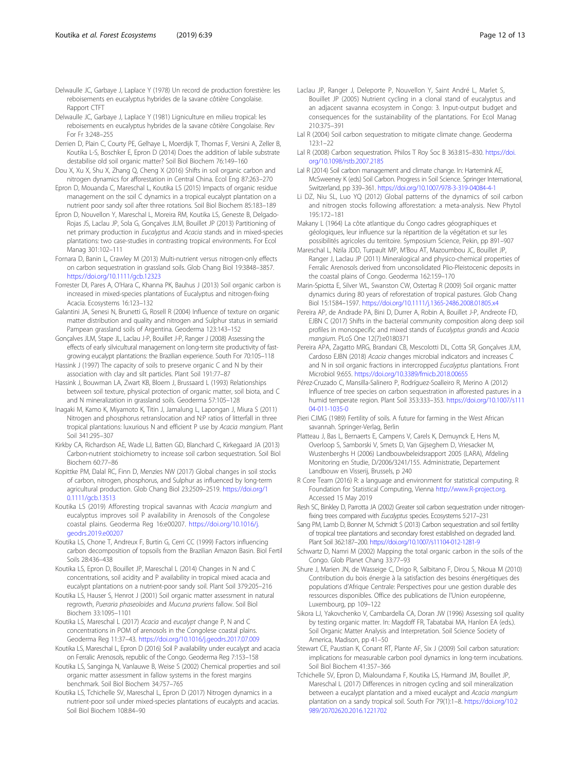<span id="page-11-0"></span>Delwaulle JC, Garbaye J, Laplace Y (1981) Ligniculture en milieu tropical: les reboisements en eucalyptus hybrides de la savane côtière Congolaise. Rev For Fr 3:248–255

Derrien D, Plain C, Courty PE, Gelhaye L, Moerdijk T, Thomas F, Versini A, Zeller B, Koutika L-S, Boschker E, Epron D (2014) Does the addition of labile substrate destabilise old soil organic matter? Soil Biol Biochem 76:149–160

Dou X, Xu X, Shu X, Zhang Q, Cheng X (2016) Shifts in soil organic carbon and nitrogen dynamics for afforestation in Central China. Ecol Eng 87:263–270

Epron D, Mouanda C, Mareschal L, Koutika LS (2015) Impacts of organic residue management on the soil C dynamics in a tropical eucalypt plantation on a nutrient poor sandy soil after three rotations. Soil Biol Biochem 85:183–189

Epron D, Nouvellon Y, Mareschal L, Moreira RM, Koutika LS, Geneste B, Delgado-Rojas JS, Laclau JP, Sola G, Gonçalves JLM, Bouillet JP (2013) Partitioning of net primary production in Eucalyptus and Acacia stands and in mixed-species plantations: two case-studies in contrasting tropical environments. For Ecol Manag 301:102–111

Fornara D, Banin L, Crawley M (2013) Multi-nutrient versus nitrogen-only effects on carbon sequestration in grassland soils. Glob Chang Biol 19:3848–3857. <https://doi.org/10.1111/gcb.12323>

Forrester DI, Pares A, O'Hara C, Khanna PK, Bauhus J (2013) Soil organic carbon is increased in mixed-species plantations of Eucalyptus and nitrogen-fixing Acacia. Ecosystems 16:123–132

Galantini JA, Senesi N, Brunetti G, Rosell R (2004) Influence of texture on organic matter distribution and quality and nitrogen and Sulphur status in semiarid Pampean grassland soils of Argentina. Geoderma 123:143–152

Gonçalves JLM, Stape JL, Laclau J-P, Bouillet J-P, Ranger J (2008) Assessing the effects of early silvicultural management on long-term site productivity of fastgrowing eucalypt plantations: the Brazilian experience. South For 70:105–118

Hassink J (1997) The capacity of soils to preserve organic C and N by their association with clay and silt particles. Plant Soil 191:77–87

Hassink J, Bouwman LA, Zwart KB, Bloem J, Brussaard L (1993) Relationships between soil texture, physical protection of organic matter, soil biota, and C and N mineralization in grassland soils. Geoderma 57:105–128

Inagaki M, Kamo K, Miyamoto K, Titin J, Jamalung L, Lapongan J, Miura S (2011) Nitrogen and phosphorus retranslocation and N:P ratios of litterfall in three tropical plantations: luxurious N and efficient P use by Acacia mangium. Plant Soil 341:295–307

Kirkby CA, Richardson AE, Wade LJ, Batten GD, Blanchard C, Kirkegaard JA (2013) Carbon-nutrient stoichiometry to increase soil carbon sequestration. Soil Biol Biochem 60:77–86

Kopittke PM, Dalal RC, Finn D, Menzies NW (2017) Global changes in soil stocks of carbon, nitrogen, phosphorus, and Sulphur as influenced by long-term agricultural production. Glob Chang Biol 23:2509–2519. [https://doi.org/1](https://doi.org/10.1111/gcb.13513) [0.1111/gcb.13513](https://doi.org/10.1111/gcb.13513)

Koutika LS (2019) Afforesting tropical savannas with Acacia mangium and eucalyptus improves soil P availability in Arenosols of the Congolese coastal plains. Geoderma Reg 16:e00207. [https://doi.org/10.1016/j.](https://doi.org/10.1016/j.geodrs.2019.e00207) [geodrs.2019.e00207](https://doi.org/10.1016/j.geodrs.2019.e00207)

Koutika LS, Chone T, Andreux F, Burtin G, Cerri CC (1999) Factors influencing carbon decomposition of topsoils from the Brazilian Amazon Basin. Biol Fertil Soils 28:436–438

Koutika LS, Epron D, Bouillet JP, Mareschal L (2014) Changes in N and C concentrations, soil acidity and P availability in tropical mixed acacia and eucalypt plantations on a nutrient-poor sandy soil. Plant Soil 379:205–216

Koutika LS, Hauser S, Henrot J (2001) Soil organic matter assessment in natural regrowth, Pueraria phaseoloides and Mucuna pruriens fallow. Soil Biol Biochem 33:1095–1101

Koutika LS, Mareschal L (2017) Acacia and eucalypt change P, N and C concentrations in POM of arenosols in the Congolese coastal plains. Geoderma Reg 11:37–43. <https://doi.org/10.1016/j.geodrs.2017.07.009>

Koutika LS, Mareschal L, Epron D (2016) Soil P availability under eucalypt and acacia on Ferralic Arenosols, republic of the Congo. Geoderma Reg 7:153–158

Koutika LS, Sanginga N, Vanlauwe B, Weise S (2002) Chemical properties and soil organic matter assessment in fallow systems in the forest margins benchmark. Soil Biol Biochem 34:757–765

Koutika LS, Tchichelle SV, Mareschal L, Epron D (2017) Nitrogen dynamics in a nutrient-poor soil under mixed-species plantations of eucalypts and acacias. Soil Biol Biochem 108:84–90

- Laclau JP, Ranger J, Deleporte P, Nouvellon Y, Saint André L, Marlet S, Bouillet JP (2005) Nutrient cycling in a clonal stand of eucalyptus and an adjacent savanna ecosystem in Congo: 3. Input-output budget and consequences for the sustainability of the plantations. For Ecol Manag 210:375–391
- Lal R (2004) Soil carbon sequestration to mitigate climate change. Geoderma 123:1–22
- Lal R (2008) Carbon sequestration. Philos T Roy Soc B 363:815–830. [https://doi.](https://doi.org/10.1098/rstb.2007.2185) [org/10.1098/rstb.2007.2185](https://doi.org/10.1098/rstb.2007.2185)

Lal R (2014) Soil carbon management and climate change. In: Hartemink AE, McSweeney K (eds) Soil Carbon. Progress in Soil Science. Springer International, Switzerland, pp 339–361. <https://doi.org/10.1007/978-3-319-04084-4-1>

Li DZ, Niu SL, Luo YQ (2012) Global patterns of the dynamics of soil carbon and nitrogen stocks following afforestation: a meta-analysis. New Phytol 195:172–181

Makany L (1964) La côte atlantique du Congo cadres géographiques et géologiques, leur influence sur la répartition de la végétation et sur les possibilités agricoles du territoire. Symposium Science, Pekin, pp 891–907

Mareschal L, Nzila JDD, Turpault MP, M'Bou AT, Mazoumbou JC, Bouillet JP, Ranger J, Laclau JP (2011) Mineralogical and physico-chemical properties of Ferralic Arenosols derived from unconsolidated Plio-Pleistocenic deposits in the coastal plains of Congo. Geoderma 162:159–170

Marin-Spiotta E, Silver WL, Swanston CW, Ostertag R (2009) Soil organic matter dynamics during 80 years of reforestation of tropical pastures. Glob Chang Biol 15:1584–1597. <https://doi.org/10.1111/j.1365-2486.2008.01805.x4>

Pereira AP, de Andrade PA, Bini D, Durrer A, Robin A, Bouillet J-P, Andreote FD, EJBN C (2017) Shifts in the bacterial community composition along deep soil profiles in monospecific and mixed stands of Eucalyptus grandis and Acacia mangium. PLoS One 12(7):e0180371

Pereira APA, Zagatto MRG, Brandani CB, Mescolotti DL, Cotta SR, Gonçalves JLM, Cardoso EJBN (2018) Acacia changes microbial indicators and increases C and N in soil organic fractions in intercropped Eucalyptus plantations. Front Microbiol 9:655. <https://doi.org/10.3389/fmicb.2018.00655>

Pérez-Cruzado C, Mansilla-Salinero P, Rodríguez-Soalleiro R, Merino A (2012) Influence of tree species on carbon sequestration in afforested pastures in a humid temperate region. Plant Soil 353:333–353. [https://doi.org/10.1007/s111](https://doi.org/10.1007/s11104-011-1035-0) [04-011-1035-0](https://doi.org/10.1007/s11104-011-1035-0)

Pieri CJMG (1989) Fertility of soils. A future for farming in the West African savannah. Springer-Verlag, Berlin

Platteau J, Bas L, Bernaerts E, Campens V, Carels K, Demuynck E, Hens M, Overloop S, Samborski V, Smets D, Van Gijseghem D, Vriesacker M, Wustenberghs H (2006) Landbouwbeleidsrapport 2005 (LARA), Afdeling Monitoring en Studie, D/2006/3241/155. Administratie, Departement Landbouw en Visserij, Brussels, p 240

R Core Team (2016) R: a language and environment for statistical computing. R Foundation for Statistical Computing, Vienna [http://www.R-project.org](http://www.r-project.org). Accessed 15 May 2019

Resh SC, Binkley D, Parrotta JA (2002) Greater soil carbon sequestration under nitrogenfixing trees compared with Eucalyptus species. Ecosystems 5:217–231

Sang PM, Lamb D, Bonner M, Schmidt S (2013) Carbon sequestration and soil fertility of tropical tree plantations and secondary forest established on degraded land. Plant Soil 362:187–200. <https://doi.org/10.1007/s11104-012-1281-9>

Schwartz D, Namri M (2002) Mapping the total organic carbon in the soils of the Congo. Glob Planet Chang 33:77–93

Shure J, Marien JN, de Wasseige C, Drigo R, Salbitano F, Dirou S, Nkoua M (2010) Contribution du bois énergie à la satisfaction des besoins énergétiques des populations d'Afrique Centrale: Perspectives pour une gestion durable des ressources disponibles. Office des publications de l'Union européenne, Luxembourg, pp 109–122

Sikora LJ, Yakovchenko V, Cambardella CA, Doran JW (1996) Assessing soil quality by testing organic matter. In: Magdoff FR, Tabatabai MA, Hanlon EA (eds.). Soil Organic Matter Analysis and Interpretation. Soil Science Society of America, Madison, pp 41–50

Stewart CE, Paustian K, Conant RT, Plante AF, Six J (2009) Soil carbon saturation: implications for measurable carbon pool dynamics in long-term incubations. Soil Biol Biochem 41:357–366

Tchichelle SV, Epron D, Mialoundama F, Koutika LS, Harmand JM, Bouillet JP, Mareschal L (2017) Differences in nitrogen cycling and soil mineralization between a eucalypt plantation and a mixed eucalypt and Acacia mangium plantation on a sandy tropical soil. South For 79(1):1–8. [https://doi.org/10.2](https://doi.org/10.2989/20702620.2016.1221702) [989/20702620.2016.1221702](https://doi.org/10.2989/20702620.2016.1221702)